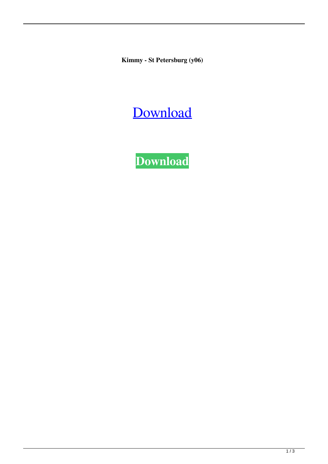**Kimmy - St Petersburg (y06)**

## [Download](http://evacdir.com/S2ltbXkgLSBTdCBQZXRlcnNidXJnICh5MDYpS2l/disrespect/ZG93bmxvYWR8STNRTW1KNVozeDhNVFkxTWpjME1EZzJObng4TWpVM05IeDhLRTBwSUhKbFlXUXRZbXh2WnlCYlJtRnpkQ0JIUlU1ZA/duuuh?/erroneous/esconder)

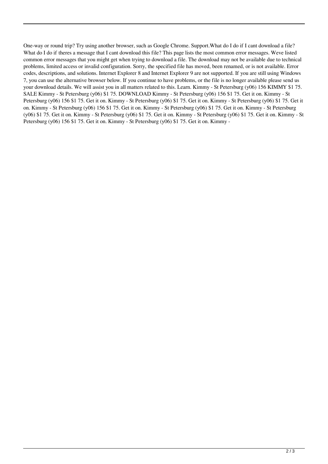One-way or round trip? Try using another browser, such as Google Chrome. Support.What do I do if I cant download a file? What do I do if theres a message that I cant download this file? This page lists the most common error messages. Weve listed common error messages that you might get when trying to download a file. The download may not be available due to technical problems, limited access or invalid configuration. Sorry, the specified file has moved, been renamed, or is not available. Error codes, descriptions, and solutions. Internet Explorer 8 and Internet Explorer 9 are not supported. If you are still using Windows 7, you can use the alternative browser below. If you continue to have problems, or the file is no longer available please send us your download details. We will assist you in all matters related to this. Learn. Kimmy - St Petersburg (y06) 156 KIMMY \$1 75. SALE Kimmy - St Petersburg (y06) \$1 75. DOWNLOAD Kimmy - St Petersburg (y06) 156 \$1 75. Get it on. Kimmy - St Petersburg (y06) 156 \$1 75. Get it on. Kimmy - St Petersburg (y06) \$1 75. Get it on. Kimmy - St Petersburg (y06) \$1 75. Get it on. Kimmy - St Petersburg (y06) 156 \$1 75. Get it on. Kimmy - St Petersburg (y06) \$1 75. Get it on. Kimmy - St Petersburg (y06) \$1 75. Get it on. Kimmy - St Petersburg (y06) \$1 75. Get it on. Kimmy - St Petersburg (y06) \$1 75. Get it on. Kimmy - St Petersburg (y06) 156 \$1 75. Get it on. Kimmy - St Petersburg (y06) \$1 75. Get it on. Kimmy -